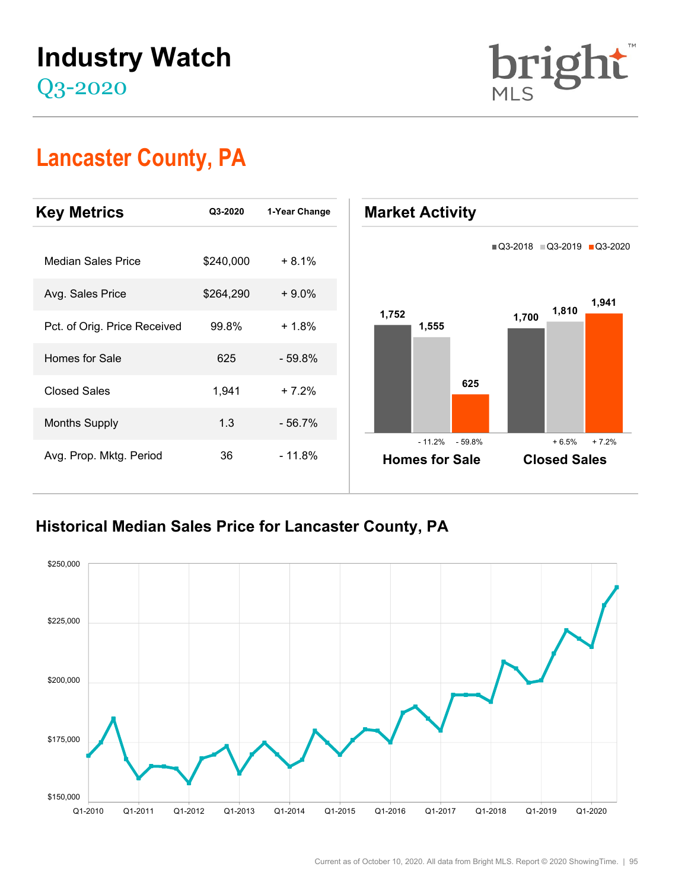**brig** 

## **Lancaster County, PA**



## **Historical Median Sales Price for Lancaster County, PA**

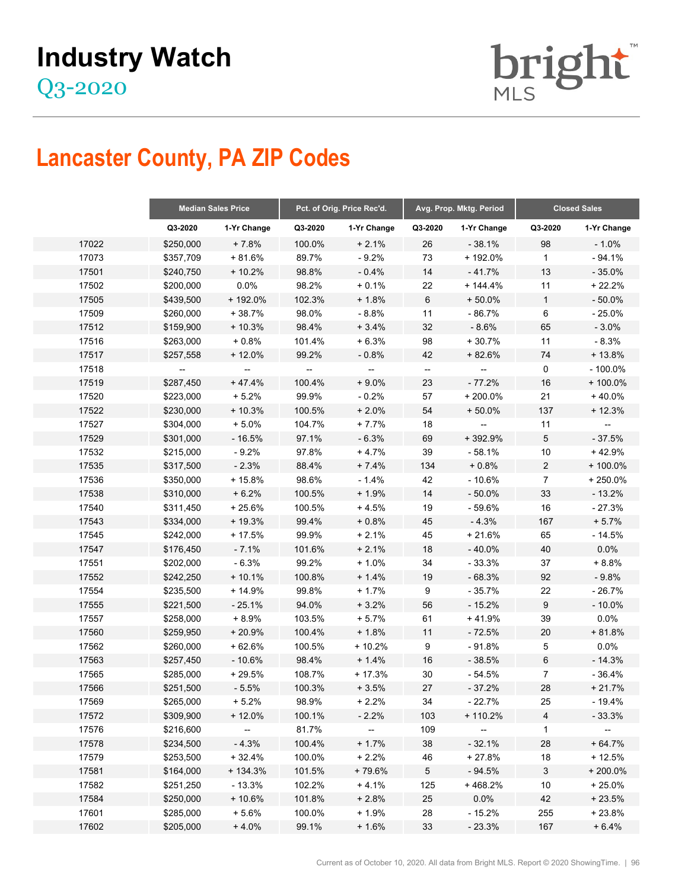

## **Lancaster County, PA ZIP Codes**

|       | <b>Median Sales Price</b> |             | Pct. of Orig. Price Rec'd. |                          | Avg. Prop. Mktg. Period  |                                                     | <b>Closed Sales</b> |             |
|-------|---------------------------|-------------|----------------------------|--------------------------|--------------------------|-----------------------------------------------------|---------------------|-------------|
|       | Q3-2020                   | 1-Yr Change | Q3-2020                    | 1-Yr Change              | Q3-2020                  | 1-Yr Change                                         | Q3-2020             | 1-Yr Change |
| 17022 | \$250,000                 | $+7.8%$     | 100.0%                     | $+2.1%$                  | 26                       | $-38.1%$                                            | 98                  | $-1.0%$     |
| 17073 | \$357,709                 | $+81.6%$    | 89.7%                      | $-9.2%$                  | 73                       | + 192.0%                                            | $\mathbf{1}$        | $-94.1%$    |
| 17501 | \$240,750                 | $+10.2%$    | 98.8%                      | $-0.4%$                  | 14                       | $-41.7%$                                            | 13                  | $-35.0%$    |
| 17502 | \$200,000                 | 0.0%        | 98.2%                      | $+0.1%$                  | 22                       | $+ 144.4%$                                          | 11                  | $+22.2%$    |
| 17505 | \$439,500                 | + 192.0%    | 102.3%                     | $+1.8%$                  | 6                        | $+50.0%$                                            | $\mathbf{1}$        | $-50.0%$    |
| 17509 | \$260,000                 | $+38.7%$    | 98.0%                      | $-8.8%$                  | 11                       | $-86.7%$                                            | 6                   | $-25.0%$    |
| 17512 | \$159,900                 | $+10.3%$    | 98.4%                      | $+3.4%$                  | 32                       | $-8.6%$                                             | 65                  | $-3.0%$     |
| 17516 | \$263,000                 | $+0.8%$     | 101.4%                     | $+6.3%$                  | 98                       | $+30.7%$                                            | 11                  | $-8.3%$     |
| 17517 | \$257,558                 | $+12.0%$    | 99.2%                      | $-0.8%$                  | 42                       | $+82.6%$                                            | 74                  | $+13.8%$    |
| 17518 | --                        |             | $\overline{\phantom{a}}$   | --                       | $\overline{\phantom{a}}$ | $\hspace{0.05cm} -\hspace{0.05cm} -\hspace{0.05cm}$ | 0                   | $-100.0\%$  |
| 17519 | \$287,450                 | $+47.4%$    | 100.4%                     | $+9.0%$                  | 23                       | $-77.2%$                                            | 16                  | +100.0%     |
| 17520 | \$223,000                 | $+5.2%$     | 99.9%                      | $-0.2%$                  | 57                       | $+200.0\%$                                          | 21                  | $+40.0%$    |
| 17522 | \$230,000                 | $+10.3%$    | 100.5%                     | $+2.0%$                  | 54                       | $+50.0%$                                            | 137                 | $+12.3%$    |
| 17527 | \$304,000                 | $+5.0%$     | 104.7%                     | $+7.7%$                  | 18                       |                                                     | 11                  |             |
| 17529 | \$301,000                 | $-16.5%$    | 97.1%                      | $-6.3%$                  | 69                       | +392.9%                                             | 5                   | $-37.5%$    |
| 17532 | \$215,000                 | $-9.2%$     | 97.8%                      | $+4.7%$                  | 39                       | $-58.1%$                                            | 10                  | +42.9%      |
| 17535 | \$317,500                 | $-2.3%$     | 88.4%                      | $+7.4%$                  | 134                      | $+0.8%$                                             | $\overline{2}$      | $+100.0%$   |
| 17536 | \$350,000                 | $+15.8%$    | 98.6%                      | $-1.4%$                  | 42                       | $-10.6%$                                            | $\overline{7}$      | $+250.0%$   |
| 17538 | \$310,000                 | $+6.2%$     | 100.5%                     | $+1.9%$                  | 14                       | $-50.0%$                                            | 33                  | $-13.2%$    |
| 17540 | \$311,450                 | $+25.6%$    | 100.5%                     | $+4.5%$                  | 19                       | $-59.6%$                                            | 16                  | $-27.3%$    |
| 17543 | \$334,000                 | $+19.3%$    | 99.4%                      | $+0.8%$                  | 45                       | $-4.3%$                                             | 167                 | $+5.7%$     |
| 17545 | \$242,000                 | $+17.5%$    | 99.9%                      | $+2.1%$                  | 45                       | $+21.6%$                                            | 65                  | $-14.5%$    |
| 17547 | \$176,450                 | $-7.1%$     | 101.6%                     | $+2.1%$                  | 18                       | $-40.0%$                                            | 40                  | 0.0%        |
| 17551 | \$202,000                 | $-6.3%$     | 99.2%                      | $+1.0%$                  | 34                       | $-33.3%$                                            | 37                  | $+8.8%$     |
| 17552 | \$242,250                 | $+10.1%$    | 100.8%                     | $+1.4%$                  | 19                       | $-68.3%$                                            | 92                  | $-9.8%$     |
| 17554 | \$235,500                 | $+14.9%$    | 99.8%                      | $+1.7%$                  | 9                        | $-35.7%$                                            | 22                  | $-26.7%$    |
| 17555 | \$221,500                 | $-25.1%$    | 94.0%                      | $+3.2%$                  | 56                       | $-15.2%$                                            | 9                   | $-10.0%$    |
| 17557 | \$258,000                 | + 8.9%      | 103.5%                     | $+5.7%$                  | 61                       | $+41.9%$                                            | 39                  | 0.0%        |
| 17560 | \$259,950                 | $+20.9%$    | 100.4%                     | $+1.8%$                  | 11                       | $-72.5%$                                            | 20                  | $+81.8%$    |
| 17562 | \$260,000                 | $+62.6%$    | 100.5%                     | $+10.2%$                 | 9                        | $-91.8%$                                            | 5                   | 0.0%        |
| 17563 | \$257,450                 | $-10.6%$    | 98.4%                      | $+1.4%$                  | 16                       | $-38.5%$                                            | 6                   | $-14.3%$    |
| 17565 | \$285,000                 | $+29.5%$    | 108.7%                     | $+17.3%$                 | 30                       | $-54.5%$                                            | 7                   | $-36.4%$    |
| 17566 | \$251,500                 | $-5.5%$     | 100.3%                     | $+3.5%$                  | 27                       | $-37.2%$                                            | 28                  | $+21.7%$    |
| 17569 | \$265,000                 | $+5.2%$     | 98.9%                      | $+2.2%$                  | 34                       | $-22.7%$                                            | 25                  | - 19.4%     |
| 17572 | \$309,900                 | $+12.0%$    | 100.1%                     | $-2.2%$                  | 103                      | + 110.2%                                            | 4                   | $-33.3%$    |
| 17576 | \$216,600                 | $-$         | 81.7%                      | $\overline{\phantom{a}}$ | 109                      | $\overline{\phantom{a}}$                            | 1                   |             |
| 17578 | \$234,500                 | $-4.3%$     | 100.4%                     | $+1.7%$                  | 38                       | $-32.1%$                                            | 28                  | $+64.7%$    |
| 17579 | \$253,500                 | $+32.4%$    | 100.0%                     | $+2.2%$                  | 46                       | $+27.8%$                                            | 18                  | $+12.5%$    |
| 17581 | \$164,000                 | + 134.3%    | 101.5%                     | + 79.6%                  | $5\phantom{.0}$          | $-94.5%$                                            | 3                   | $+200.0%$   |
| 17582 | \$251,250                 | $-13.3%$    | 102.2%                     | $+4.1%$                  | 125                      | $+468.2%$                                           | 10                  | $+25.0%$    |
| 17584 | \$250,000                 | $+10.6%$    | 101.8%                     | $+2.8%$                  | 25                       | 0.0%                                                | 42                  | $+23.5%$    |
| 17601 | \$285,000                 | $+5.6%$     | 100.0%                     | $+1.9%$                  | 28                       | $-15.2%$                                            | 255                 | $+23.8%$    |
| 17602 | \$205,000                 | $+4.0%$     | 99.1%                      | $+1.6%$                  | 33                       | $-23.3%$                                            | 167                 | $+6.4%$     |